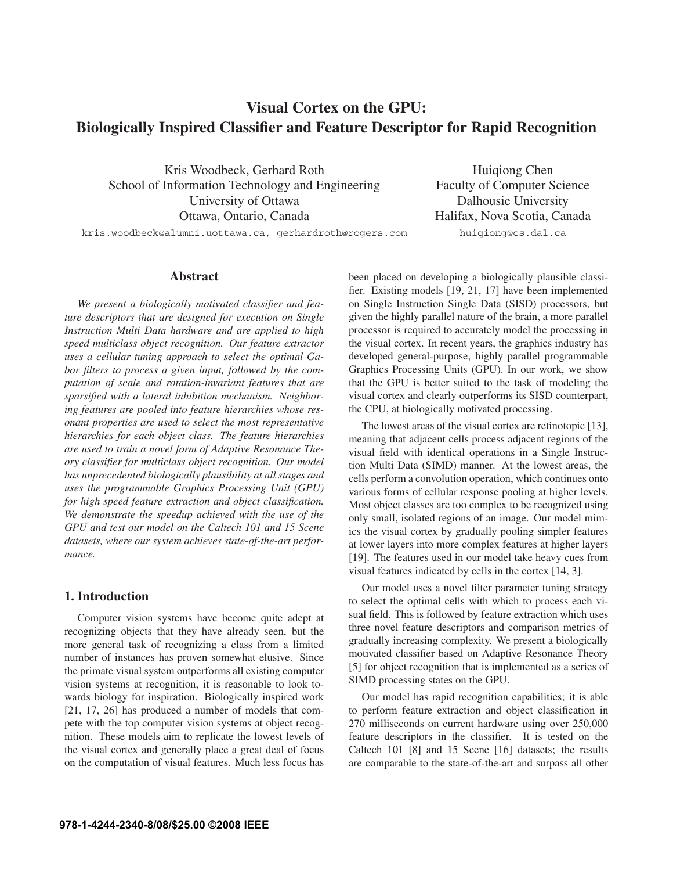# **Visual Cortex on the GPU: Biologically Inspired Classifier and Feature Descriptor for Rapid Recognition**

Kris Woodbeck, Gerhard Roth School of Information Technology and Engineering University of Ottawa Ottawa, Ontario, Canada

Huiqiong Chen Faculty of Computer Science Dalhousie University Halifax, Nova Scotia, Canada huiqiong@cs.dal.ca

kris.woodbeck@alumni.uottawa.ca, gerhardroth@rogers.com

### **Abstract**

*We present a biologically motivated classifier and feature descriptors that are designed for execution on Single Instruction Multi Data hardware and are applied to high speed multiclass object recognition. Our feature extractor uses a cellular tuning approach to select the optimal Gabor filters to process a given input, followed by the computation of scale and rotation-invariant features that are sparsified with a lateral inhibition mechanism. Neighboring features are pooled into feature hierarchies whose resonant properties are used to select the most representative hierarchies for each object class. The feature hierarchies are used to train a novel form of Adaptive Resonance Theory classifier for multiclass object recognition. Our model has unprecedented biologically plausibility at all stages and uses the programmable Graphics Processing Unit (GPU) for high speed feature extraction and object classification. We demonstrate the speedup achieved with the use of the GPU and test our model on the Caltech 101 and 15 Scene datasets, where our system achieves state-of-the-art performance.*

# **1. Introduction**

Computer vision systems have become quite adept at recognizing objects that they have already seen, but the more general task of recognizing a class from a limited number of instances has proven somewhat elusive. Since the primate visual system outperforms all existing computer vision systems at recognition, it is reasonable to look towards biology for inspiration. Biologically inspired work [21, 17, 26] has produced a number of models that compete with the top computer vision systems at object recognition. These models aim to replicate the lowest levels of the visual cortex and generally place a great deal of focus on the computation of visual features. Much less focus has been placed on developing a biologically plausible classifier. Existing models [19, 21, 17] have been implemented on Single Instruction Single Data (SISD) processors, but given the highly parallel nature of the brain, a more parallel processor is required to accurately model the processing in the visual cortex. In recent years, the graphics industry has developed general-purpose, highly parallel programmable Graphics Processing Units (GPU). In our work, we show that the GPU is better suited to the task of modeling the visual cortex and clearly outperforms its SISD counterpart, the CPU, at biologically motivated processing.

The lowest areas of the visual cortex are retinotopic [13], meaning that adjacent cells process adjacent regions of the visual field with identical operations in a Single Instruction Multi Data (SIMD) manner. At the lowest areas, the cells perform a convolution operation, which continues onto various forms of cellular response pooling at higher levels. Most object classes are too complex to be recognized using only small, isolated regions of an image. Our model mimics the visual cortex by gradually pooling simpler features at lower layers into more complex features at higher layers [19]. The features used in our model take heavy cues from visual features indicated by cells in the cortex [14, 3].

Our model uses a novel filter parameter tuning strategy to select the optimal cells with which to process each visual field. This is followed by feature extraction which uses three novel feature descriptors and comparison metrics of gradually increasing complexity. We present a biologically motivated classifier based on Adaptive Resonance Theory [5] for object recognition that is implemented as a series of SIMD processing states on the GPU.

Our model has rapid recognition capabilities; it is able to perform feature extraction and object classification in 270 milliseconds on current hardware using over 250,000 feature descriptors in the classifier. It is tested on the Caltech 101 [8] and 15 Scene [16] datasets; the results are comparable to the state-of-the-art and surpass all other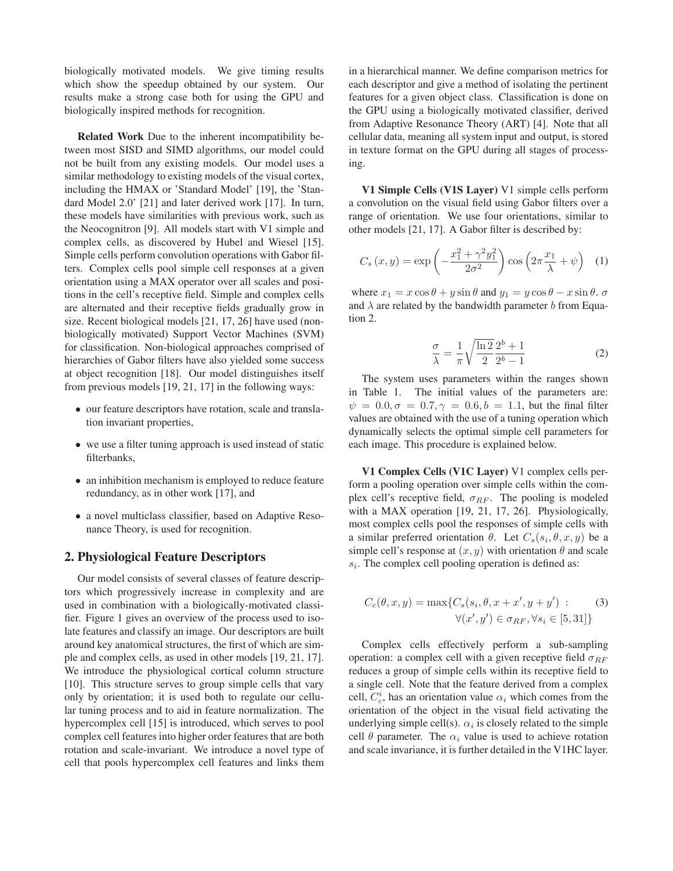biologically motivated models. We give timing results which show the speedup obtained by our system. Our results make a strong case both for using the GPU and biologically inspired methods for recognition.

**Related Work** Due to the inherent incompatibility between most SISD and SIMD algorithms, our model could not be built from any existing models. Our model uses a similar methodology to existing models of the visual cortex, including the HMAX or 'Standard Model' [19], the 'Standard Model 2.0' [21] and later derived work [17]. In turn, these models have similarities with previous work, such as the Neocognitron [9]. All models start with V1 simple and complex cells, as discovered by Hubel and Wiesel [15]. Simple cells perform convolution operations with Gabor filters. Complex cells pool simple cell responses at a given orientation using a MAX operator over all scales and positions in the cell's receptive field. Simple and complex cells are alternated and their receptive fields gradually grow in size. Recent biological models [21, 17, 26] have used (nonbiologically motivated) Support Vector Machines (SVM) for classification. Non-biological approaches comprised of hierarchies of Gabor filters have also yielded some success at object recognition [18]. Our model distinguishes itself from previous models [19, 21, 17] in the following ways:

- our feature descriptors have rotation, scale and translation invariant properties,
- we use a filter tuning approach is used instead of static filterbanks,
- an inhibition mechanism is employed to reduce feature redundancy, as in other work [17], and
- a novel multiclass classifier, based on Adaptive Resonance Theory, is used for recognition.

### **2. Physiological Feature Descriptors**

Our model consists of several classes of feature descriptors which progressively increase in complexity and are used in combination with a biologically-motivated classifier. Figure 1 gives an overview of the process used to isolate features and classify an image. Our descriptors are built around key anatomical structures, the first of which are simple and complex cells, as used in other models [19, 21, 17]. We introduce the physiological cortical column structure [10]. This structure serves to group simple cells that vary only by orientation; it is used both to regulate our cellular tuning process and to aid in feature normalization. The hypercomplex cell [15] is introduced, which serves to pool complex cell features into higher order features that are both rotation and scale-invariant. We introduce a novel type of cell that pools hypercomplex cell features and links them

in a hierarchical manner. We define comparison metrics for each descriptor and give a method of isolating the pertinent features for a given object class. Classification is done on the GPU using a biologically motivated classifier, derived from Adaptive Resonance Theory (ART) [4]. Note that all cellular data, meaning all system input and output, is stored in texture format on the GPU during all stages of processing.

**V1 Simple Cells (V1S Layer)** V1 simple cells perform a convolution on the visual field using Gabor filters over a range of orientation. We use four orientations, similar to other models [21, 17]. A Gabor filter is described by:

$$
C_s(x,y) = \exp\left(-\frac{x_1^2 + \gamma^2 y_1^2}{2\sigma^2}\right) \cos\left(2\pi \frac{x_1}{\lambda} + \psi\right) \quad (1)
$$

where  $x_1 = x \cos \theta + y \sin \theta$  and  $y_1 = y \cos \theta - x \sin \theta$ .  $\sigma$ and  $\lambda$  are related by the bandwidth parameter b from Equation 2.

$$
\frac{\sigma}{\lambda} = \frac{1}{\pi} \sqrt{\frac{\ln 2}{2}} \frac{2^b + 1}{2^b - 1}
$$
 (2)

The system uses parameters within the ranges shown in Table 1. The initial values of the parameters are:  $\psi = 0.0, \sigma = 0.7, \gamma = 0.6, b = 1.1$ , but the final filter values are obtained with the use of a tuning operation which dynamically selects the optimal simple cell parameters for each image. This procedure is explained below.

**V1 Complex Cells (V1C Layer)** V1 complex cells perform a pooling operation over simple cells within the complex cell's receptive field,  $\sigma_{RF}$ . The pooling is modeled with a MAX operation [19, 21, 17, 26]. Physiologically, most complex cells pool the responses of simple cells with a similar preferred orientation  $\theta$ . Let  $C_s(s_i, \theta, x, y)$  be a simple cell's response at  $(x, y)$  with orientation  $\theta$  and scale  $s_i$ . The complex cell pooling operation is defined as:

$$
C_c(\theta, x, y) = \max\{C_s(s_i, \theta, x + x', y + y') : (3)
$$

$$
\forall (x', y') \in \sigma_{RF}, \forall s_i \in [5, 31]\}
$$

Complex cells effectively perform a sub-sampling operation: a complex cell with a given receptive field  $\sigma_{RF}$ reduces a group of simple cells within its receptive field to a single cell. Note that the feature derived from a complex cell,  $C_c^i$ , has an orientation value  $\alpha_i$  which comes from the orientation of the object in the visual field activating the underlying simple cell(s).  $\alpha_i$  is closely related to the simple cell  $\theta$  parameter. The  $\alpha_i$  value is used to achieve rotation and scale invariance, it is further detailed in the V1HC layer.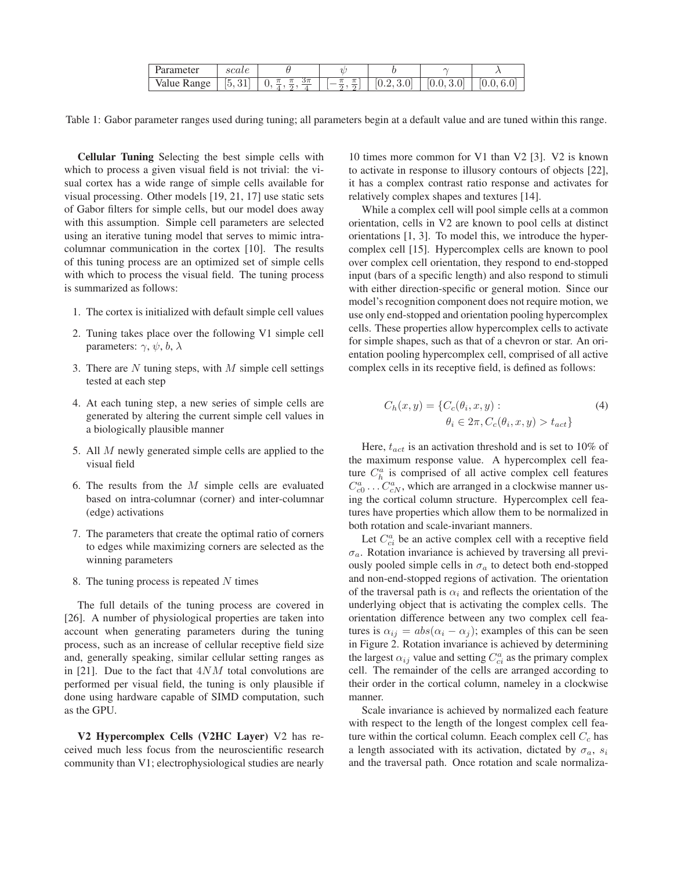| value Range | $\left[5, \right]$<br>୰∸ | $3\pi$ | C. | [0.2, 3.0] | $10.0$ ,<br>v. |  |  |
|-------------|--------------------------|--------|----|------------|----------------|--|--|

Table 1: Gabor parameter ranges used during tuning; all parameters begin at a default value and are tuned within this range.

**Cellular Tuning** Selecting the best simple cells with which to process a given visual field is not trivial: the visual cortex has a wide range of simple cells available for visual processing. Other models [19, 21, 17] use static sets of Gabor filters for simple cells, but our model does away with this assumption. Simple cell parameters are selected using an iterative tuning model that serves to mimic intracolumnar communication in the cortex [10]. The results of this tuning process are an optimized set of simple cells with which to process the visual field. The tuning process is summarized as follows:

- 1. The cortex is initialized with default simple cell values
- 2. Tuning takes place over the following V1 simple cell parameters:  $\gamma$ ,  $\psi$ ,  $b$ ,  $\lambda$
- 3. There are  $N$  tuning steps, with  $M$  simple cell settings tested at each step
- 4. At each tuning step, a new series of simple cells are generated by altering the current simple cell values in a biologically plausible manner
- 5. All M newly generated simple cells are applied to the visual field
- 6. The results from the  $M$  simple cells are evaluated based on intra-columnar (corner) and inter-columnar (edge) activations
- 7. The parameters that create the optimal ratio of corners to edges while maximizing corners are selected as the winning parameters
- 8. The tuning process is repeated  $N$  times

The full details of the tuning process are covered in [26]. A number of physiological properties are taken into account when generating parameters during the tuning process, such as an increase of cellular receptive field size and, generally speaking, similar cellular setting ranges as in [21]. Due to the fact that  $4NM$  total convolutions are performed per visual field, the tuning is only plausible if done using hardware capable of SIMD computation, such as the GPU.

**V2 Hypercomplex Cells (V2HC Layer)** V2 has received much less focus from the neuroscientific research community than V1; electrophysiological studies are nearly

10 times more common for V1 than V2 [3]. V2 is known to activate in response to illusory contours of objects [22], it has a complex contrast ratio response and activates for relatively complex shapes and textures [14].

While a complex cell will pool simple cells at a common orientation, cells in V2 are known to pool cells at distinct orientations [1, 3]. To model this, we introduce the hypercomplex cell [15]. Hypercomplex cells are known to pool over complex cell orientation, they respond to end-stopped input (bars of a specific length) and also respond to stimuli with either direction-specific or general motion. Since our model's recognition component does not require motion, we use only end-stopped and orientation pooling hypercomplex cells. These properties allow hypercomplex cells to activate for simple shapes, such as that of a chevron or star. An orientation pooling hypercomplex cell, comprised of all active complex cells in its receptive field, is defined as follows:

$$
C_h(x, y) = \{C_c(\theta_i, x, y): \qquad \theta_i \in 2\pi, C_c(\theta_i, x, y) > t_{act}\}\
$$
\n(4)

Here,  $t_{act}$  is an activation threshold and is set to 10% of the maximum response value. A hypercomplex cell feature  $C_h^a$  is comprised of all active complex cell features  $C_{c0}^a \dots C_{cN}^a$ , which are arranged in a clockwise manner using the cortical column structure. Hypercomplex cell features have properties which allow them to be normalized in both rotation and scale-invariant manners.

Let  $C_{ci}^a$  be an active complex cell with a receptive field  $\sigma_a$ . Rotation invariance is achieved by traversing all previously pooled simple cells in  $\sigma_a$  to detect both end-stopped and non-end-stopped regions of activation. The orientation of the traversal path is  $\alpha_i$  and reflects the orientation of the underlying object that is activating the complex cells. The orientation difference between any two complex cell features is  $\alpha_{ij} = abs(\alpha_i - \alpha_j)$ ; examples of this can be seen in Figure 2. Rotation invariance is achieved by determining the largest  $\alpha_{ij}$  value and setting  $C_{ci}^a$  as the primary complex cell. The remainder of the cells are arranged according to their order in the cortical column, nameley in a clockwise manner.

Scale invariance is achieved by normalized each feature with respect to the length of the longest complex cell feature within the cortical column. Eeach complex cell  $C_c$  has a length associated with its activation, dictated by  $\sigma_a$ ,  $s_i$ and the traversal path. Once rotation and scale normaliza-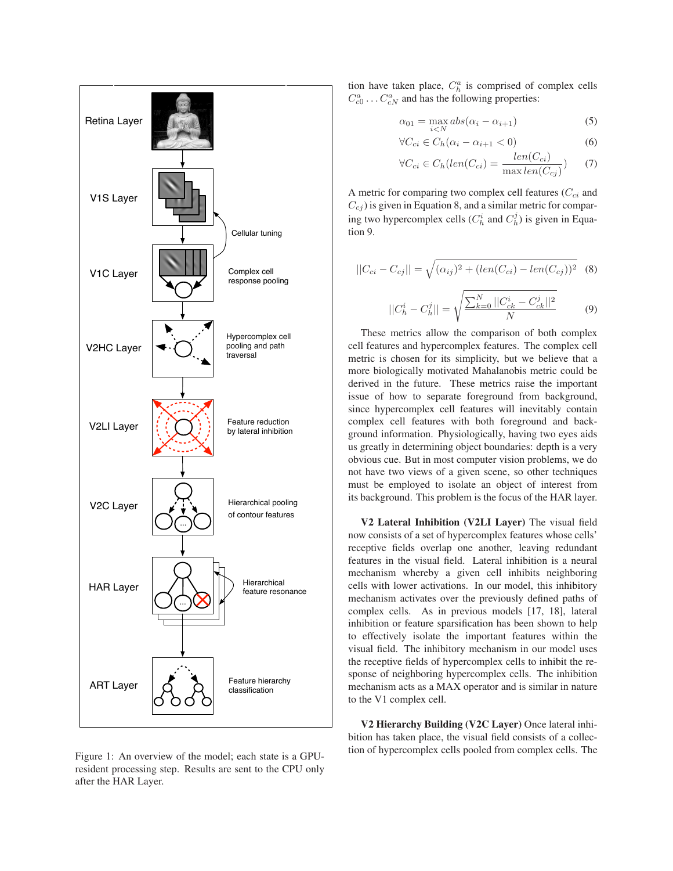

Figure 1: An overview of the model; each state is a GPUresident processing step. Results are sent to the CPU only after the HAR Layer.

tion have taken place,  $C_h^a$  is comprised of complex cells  $C_{c0}^{a}$  ...  $C_{cN}^{a}$  and has the following properties:

$$
\alpha_{01} = \max_{i < N} abs(\alpha_i - \alpha_{i+1}) \tag{5}
$$

$$
\forall C_{ci} \in C_h(\alpha_i - \alpha_{i+1} < 0) \tag{6}
$$

$$
\forall C_{ci} \in C_h(len(C_{ci}) = \frac{len(C_{ci})}{\max len(C_{cj})})
$$
 (7)

A metric for comparing two complex cell features  $(C_{ci}$  and  $C_{cj}$ ) is given in Equation 8, and a similar metric for comparing two hypercomplex cells  $(C_h^i$  and  $C_h^j)$  is given in Equation 9.

$$
||C_{ci} - C_{cj}|| = \sqrt{(\alpha_{ij})^2 + (len(C_{ci}) - len(C_{cj}))^2}
$$
 (8)

$$
||C_h^i - C_h^j|| = \sqrt{\frac{\sum_{k=0}^N ||C_{ck}^i - C_{ck}^j||^2}{N}}
$$
(9)

These metrics allow the comparison of both complex cell features and hypercomplex features. The complex cell metric is chosen for its simplicity, but we believe that a more biologically motivated Mahalanobis metric could be derived in the future. These metrics raise the important issue of how to separate foreground from background, since hypercomplex cell features will inevitably contain complex cell features with both foreground and background information. Physiologically, having two eyes aids us greatly in determining object boundaries: depth is a very obvious cue. But in most computer vision problems, we do not have two views of a given scene, so other techniques must be employed to isolate an object of interest from its background. This problem is the focus of the HAR layer.

**V2 Lateral Inhibition (V2LI Layer)** The visual field now consists of a set of hypercomplex features whose cells' receptive fields overlap one another, leaving redundant features in the visual field. Lateral inhibition is a neural mechanism whereby a given cell inhibits neighboring cells with lower activations. In our model, this inhibitory mechanism activates over the previously defined paths of complex cells. As in previous models [17, 18], lateral inhibition or feature sparsification has been shown to help to effectively isolate the important features within the visual field. The inhibitory mechanism in our model uses the receptive fields of hypercomplex cells to inhibit the response of neighboring hypercomplex cells. The inhibition mechanism acts as a MAX operator and is similar in nature to the V1 complex cell.

**V2 Hierarchy Building (V2C Layer)** Once lateral inhibition has taken place, the visual field consists of a collection of hypercomplex cells pooled from complex cells. The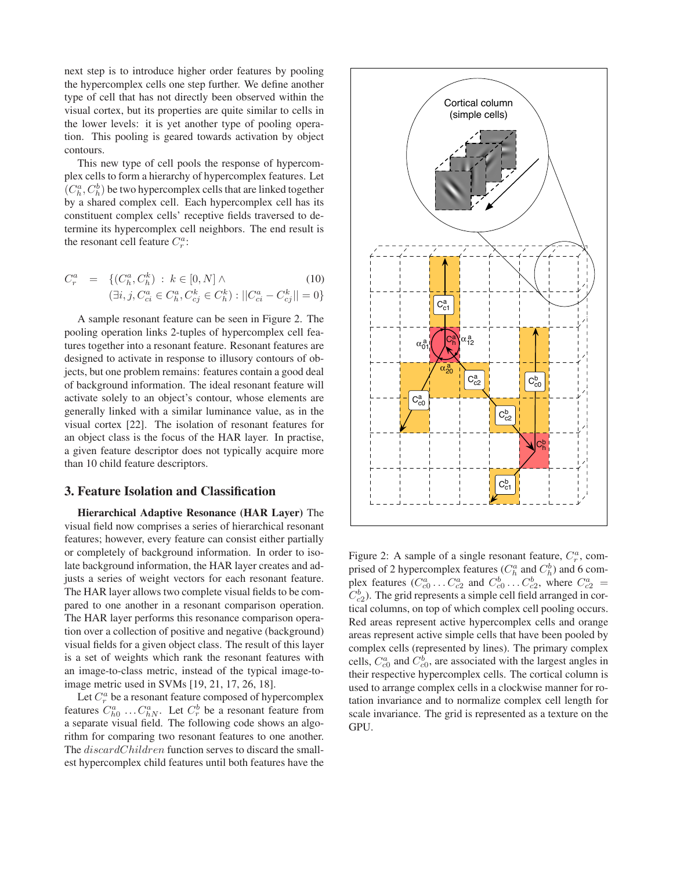next step is to introduce higher order features by pooling the hypercomplex cells one step further. We define another type of cell that has not directly been observed within the visual cortex, but its properties are quite similar to cells in the lower levels: it is yet another type of pooling operation. This pooling is geared towards activation by object contours.

This new type of cell pools the response of hypercomplex cells to form a hierarchy of hypercomplex features. Let  $(C_h^a, C_h^b)$  be two hypercomplex cells that are linked together by a shared complex cell. Each hypercomplex cell has its constituent complex cells' receptive fields traversed to determine its hypercomplex cell neighbors. The end result is the resonant cell feature  $C_r^a$ :

$$
C_r^a = \{ (C_h^a, C_h^k) : k \in [0, N] \wedge \tag{10}
$$
  

$$
(\exists i, j, C_{ci}^a \in C_h^a, C_{cj}^k \in C_h^k) : ||C_{ci}^a - C_{cj}^k|| = 0 \}
$$

A sample resonant feature can be seen in Figure 2. The pooling operation links 2-tuples of hypercomplex cell features together into a resonant feature. Resonant features are designed to activate in response to illusory contours of objects, but one problem remains: features contain a good deal of background information. The ideal resonant feature will activate solely to an object's contour, whose elements are generally linked with a similar luminance value, as in the visual cortex [22]. The isolation of resonant features for an object class is the focus of the HAR layer. In practise, a given feature descriptor does not typically acquire more than 10 child feature descriptors.

### **3. Feature Isolation and Classification**

**Hierarchical Adaptive Resonance (HAR Layer)** The visual field now comprises a series of hierarchical resonant features; however, every feature can consist either partially or completely of background information. In order to isolate background information, the HAR layer creates and adjusts a series of weight vectors for each resonant feature. The HAR layer allows two complete visual fields to be compared to one another in a resonant comparison operation. The HAR layer performs this resonance comparison operation over a collection of positive and negative (background) visual fields for a given object class. The result of this layer is a set of weights which rank the resonant features with an image-to-class metric, instead of the typical image-toimage metric used in SVMs [19, 21, 17, 26, 18].

Let  $C_r^a$  be a resonant feature composed of hypercomplex features  $C_{h0}^a \dots C_{hN}^a$ . Let  $C_r^b$  be a resonant feature from a separate visual field. The following code shows an algorithm for comparing two resonant features to one another. The *discardChildren* function serves to discard the smallest hypercomplex child features until both features have the



Figure 2: A sample of a single resonant feature,  $C_r^a$ , comprised of 2 hypercomplex features ( $C_h^a$  and  $C_h^b$ ) and 6 complex features  $(C_{c0}^a \dots C_{c2}^a$  and  $C_{c0}^b \dots C_{c2}^b$ , where  $C_{c2}^a$  =  $C_{c2}^b$ ). The grid represents a simple cell field arranged in cortical columns, on top of which complex cell pooling occurs. Red areas represent active hypercomplex cells and orange areas represent active simple cells that have been pooled by complex cells (represented by lines). The primary complex cells,  $C_{c0}^a$  and  $C_{c0}^b$ , are associated with the largest angles in their respective hypercomplex cells. The cortical column is used to arrange complex cells in a clockwise manner for rotation invariance and to normalize complex cell length for scale invariance. The grid is represented as a texture on the GPU.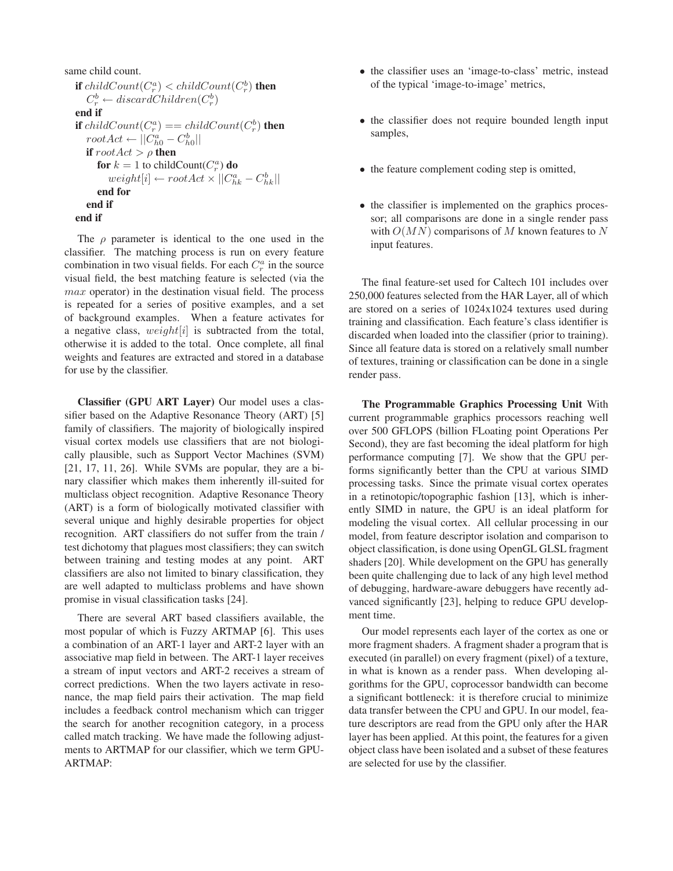```
same child count.
\textbf{if } childCount(C_{r}^{a}) < childCount(C_{r}^{b}) \textbf{ then}C_r^b \leftarrow discardChildren(C_r^b)end if
\textbf{if } childCount(C^a_r) == childCount(C^b_r) then
   rootAct \leftarrow ||C_{h0}^a - C_{h0}^b||if rootAct > \rho then
       for k = 1 to childCount(C_r^a) do
          weight[i] \leftarrow rootAct \times ||C_{hk}^a - C_{hk}^b||end for
   end if
end if
```
The  $\rho$  parameter is identical to the one used in the classifier. The matching process is run on every feature combination in two visual fields. For each  $C_r^a$  in the source visual field, the best matching feature is selected (via the  $max$  operator) in the destination visual field. The process is repeated for a series of positive examples, and a set of background examples. When a feature activates for a negative class,  $weight[i]$  is subtracted from the total, otherwise it is added to the total. Once complete, all final weights and features are extracted and stored in a database for use by the classifier.

**Classifier (GPU ART Layer)** Our model uses a classifier based on the Adaptive Resonance Theory (ART) [5] family of classifiers. The majority of biologically inspired visual cortex models use classifiers that are not biologically plausible, such as Support Vector Machines (SVM) [21, 17, 11, 26]. While SVMs are popular, they are a binary classifier which makes them inherently ill-suited for multiclass object recognition. Adaptive Resonance Theory (ART) is a form of biologically motivated classifier with several unique and highly desirable properties for object recognition. ART classifiers do not suffer from the train / test dichotomy that plagues most classifiers; they can switch between training and testing modes at any point. ART classifiers are also not limited to binary classification, they are well adapted to multiclass problems and have shown promise in visual classification tasks [24].

There are several ART based classifiers available, the most popular of which is Fuzzy ARTMAP [6]. This uses a combination of an ART-1 layer and ART-2 layer with an associative map field in between. The ART-1 layer receives a stream of input vectors and ART-2 receives a stream of correct predictions. When the two layers activate in resonance, the map field pairs their activation. The map field includes a feedback control mechanism which can trigger the search for another recognition category, in a process called match tracking. We have made the following adjustments to ARTMAP for our classifier, which we term GPU-ARTMAP:

- the classifier uses an 'image-to-class' metric, instead of the typical 'image-to-image' metrics,
- the classifier does not require bounded length input samples,
- the feature complement coding step is omitted,
- the classifier is implemented on the graphics processor; all comparisons are done in a single render pass with  $O(MN)$  comparisons of M known features to N input features.

The final feature-set used for Caltech 101 includes over 250,000 features selected from the HAR Layer, all of which are stored on a series of 1024x1024 textures used during training and classification. Each feature's class identifier is discarded when loaded into the classifier (prior to training). Since all feature data is stored on a relatively small number of textures, training or classification can be done in a single render pass.

**The Programmable Graphics Processing Unit** With current programmable graphics processors reaching well over 500 GFLOPS (billion FLoating point Operations Per Second), they are fast becoming the ideal platform for high performance computing [7]. We show that the GPU performs significantly better than the CPU at various SIMD processing tasks. Since the primate visual cortex operates in a retinotopic/topographic fashion [13], which is inherently SIMD in nature, the GPU is an ideal platform for modeling the visual cortex. All cellular processing in our model, from feature descriptor isolation and comparison to object classification, is done using OpenGL GLSL fragment shaders [20]. While development on the GPU has generally been quite challenging due to lack of any high level method of debugging, hardware-aware debuggers have recently advanced significantly [23], helping to reduce GPU development time.

Our model represents each layer of the cortex as one or more fragment shaders. A fragment shader a program that is executed (in parallel) on every fragment (pixel) of a texture, in what is known as a render pass. When developing algorithms for the GPU, coprocessor bandwidth can become a significant bottleneck: it is therefore crucial to minimize data transfer between the CPU and GPU. In our model, feature descriptors are read from the GPU only after the HAR layer has been applied. At this point, the features for a given object class have been isolated and a subset of these features are selected for use by the classifier.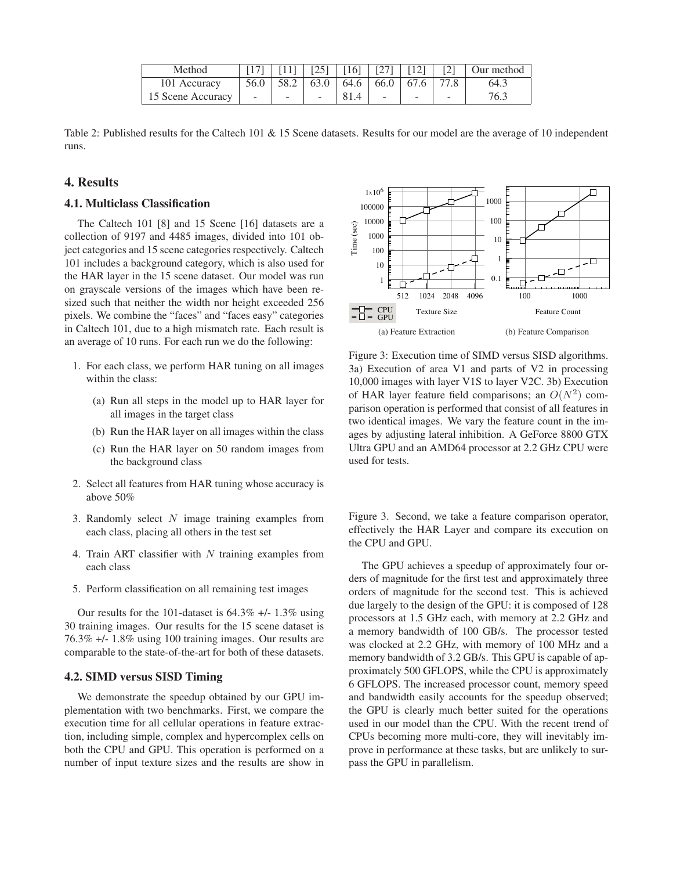| Method            |                                                                                                                                               |  |      |                                                              |        | $\lceil 17 \rceil$   $\lceil 11 \rceil$   $\lceil 25 \rceil$   $\lceil 16 \rceil$   $\lceil 27 \rceil$   $\lceil 12 \rceil$   $\lceil 2 \rceil$   Our method |
|-------------------|-----------------------------------------------------------------------------------------------------------------------------------------------|--|------|--------------------------------------------------------------|--------|--------------------------------------------------------------------------------------------------------------------------------------------------------------|
| 101 Accuracy      |                                                                                                                                               |  |      | $56.0$   $58.2$   $63.0$   $64.6$   $66.0$   $67.6$   $77.8$ |        | 64.3                                                                                                                                                         |
| 15 Scene Accuracy | $\frac{1}{2}$ ( $\frac{1}{2}$ $\frac{1}{2}$ $\frac{1}{2}$ $\frac{1}{2}$ $\frac{1}{2}$ $\frac{1}{2}$ $\frac{1}{2}$ $\frac{1}{2}$ $\frac{1}{2}$ |  | 81.4 | $\sim$                                                       | $\sim$ | 76.3                                                                                                                                                         |

Table 2: Published results for the Caltech 101 & 15 Scene datasets. Results for our model are the average of 10 independent runs.

# **4. Results**

#### **4.1. Multiclass Classification**

The Caltech 101 [8] and 15 Scene [16] datasets are a collection of 9197 and 4485 images, divided into 101 object categories and 15 scene categories respectively. Caltech 101 includes a background category, which is also used for the HAR layer in the 15 scene dataset. Our model was run on grayscale versions of the images which have been resized such that neither the width nor height exceeded 256 pixels. We combine the "faces" and "faces easy" categories in Caltech 101, due to a high mismatch rate. Each result is an average of 10 runs. For each run we do the following:

- 1. For each class, we perform HAR tuning on all images within the class:
	- (a) Run all steps in the model up to HAR layer for all images in the target class
	- (b) Run the HAR layer on all images within the class
	- (c) Run the HAR layer on 50 random images from the background class
- 2. Select all features from HAR tuning whose accuracy is above 50%
- 3. Randomly select  $N$  image training examples from each class, placing all others in the test set
- 4. Train ART classifier with  $N$  training examples from each class
- 5. Perform classification on all remaining test images

Our results for the 101-dataset is  $64.3\%$  +/- 1.3% using 30 training images. Our results for the 15 scene dataset is 76.3% +/- 1.8% using 100 training images. Our results are comparable to the state-of-the-art for both of these datasets.

# **4.2. SIMD versus SISD Timing**

We demonstrate the speedup obtained by our GPU implementation with two benchmarks. First, we compare the execution time for all cellular operations in feature extraction, including simple, complex and hypercomplex cells on both the CPU and GPU. This operation is performed on a number of input texture sizes and the results are show in



Figure 3: Execution time of SIMD versus SISD algorithms. 3a) Execution of area V1 and parts of V2 in processing 10,000 images with layer V1S to layer V2C. 3b) Execution of HAR layer feature field comparisons; an  $O(N^2)$  comparison operation is performed that consist of all features in two identical images. We vary the feature count in the images by adjusting lateral inhibition. A GeForce 8800 GTX Ultra GPU and an AMD64 processor at 2.2 GHz CPU were used for tests.

Figure 3. Second, we take a feature comparison operator, effectively the HAR Layer and compare its execution on the CPU and GPU.

The GPU achieves a speedup of approximately four orders of magnitude for the first test and approximately three orders of magnitude for the second test. This is achieved due largely to the design of the GPU: it is composed of 128 processors at 1.5 GHz each, with memory at 2.2 GHz and a memory bandwidth of 100 GB/s. The processor tested was clocked at 2.2 GHz, with memory of 100 MHz and a memory bandwidth of 3.2 GB/s. This GPU is capable of approximately 500 GFLOPS, while the CPU is approximately 6 GFLOPS. The increased processor count, memory speed and bandwidth easily accounts for the speedup observed; the GPU is clearly much better suited for the operations used in our model than the CPU. With the recent trend of CPUs becoming more multi-core, they will inevitably improve in performance at these tasks, but are unlikely to surpass the GPU in parallelism.